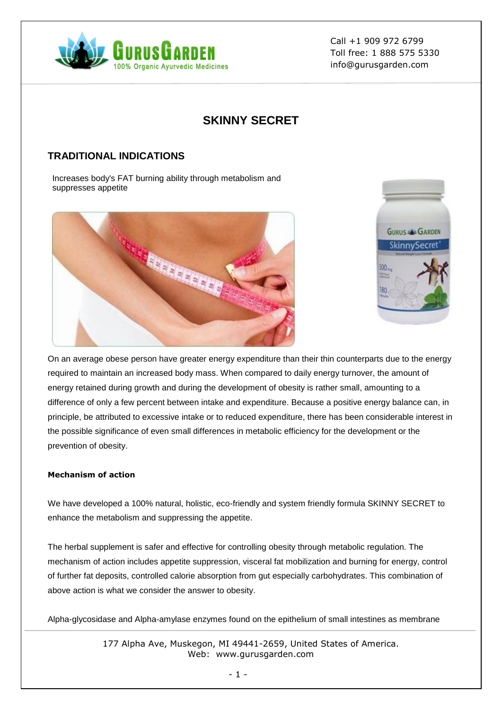

# **SKINNY SECRET**

## **TRADITIONAL INDICATIONS**

Increases body's FAT burning ability through metabolism and suppresses appetite





On an average obese person have greater energy expenditure than their thin counterparts due to the energy required to maintain an increased body mass. When compared to daily energy turnover, the amount of energy retained during growth and during the development of obesity is rather small, amounting to a difference of only a few percent between intake and expenditure. Because a positive energy balance can, in principle, be attributed to excessive intake or to reduced expenditure, there has been considerable interest in the possible significance of even small differences in metabolic efficiency for the development or the prevention of obesity.

### **Mechanism of action**

We have developed a 100% natural, holistic, eco-friendly and system friendly formula SKINNY SECRET to enhance the metabolism and suppressing the appetite.

The herbal supplement is safer and effective for controlling obesity through metabolic regulation. The mechanism of action includes appetite suppression, visceral fat mobilization and burning for energy, control of further fat deposits, controlled calorie absorption from gut especially carbohydrates. This combination of above action is what we consider the answer to obesity.

Alpha-glycosidase and Alpha-amylase enzymes found on the epithelium of small intestines as membrane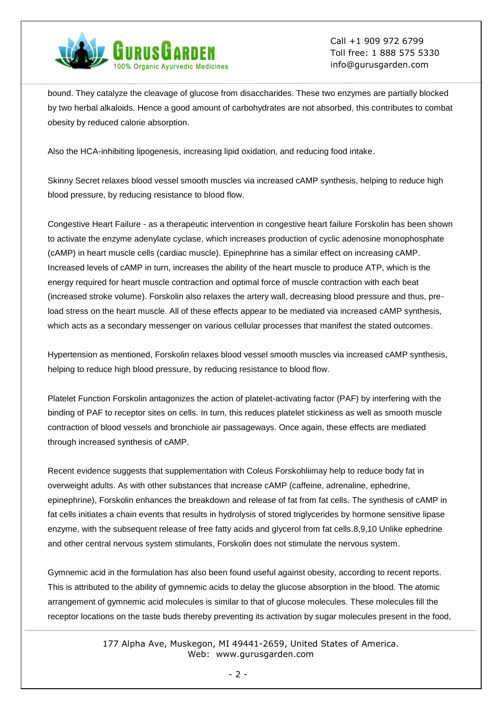

bound. They catalyze the cleavage of glucose from disaccharides. These two enzymes are partially blocked by two herbal alkaloids. Hence a good amount of carbohydrates are not absorbed, this contributes to combat obesity by reduced calorie absorption.

Also the HCA-inhibiting lipogenesis, increasing lipid oxidation, and reducing food intake.

Skinny Secret relaxes blood vessel smooth muscles via increased cAMP synthesis, helping to reduce high blood pressure, by reducing resistance to blood flow.

Congestive Heart Failure - as a therapeutic intervention in congestive heart failure Forskolin has been shown to activate the enzyme adenylate cyclase, which increases production of cyclic adenosine monophosphate (cAMP) in heart muscle cells (cardiac muscle). Epinephrine has a similar effect on increasing cAMP. Increased levels of cAMP in turn, increases the ability of the heart muscle to produce ATP, which is the energy required for heart muscle contraction and optimal force of muscle contraction with each beat (increased stroke volume). Forskolin also relaxes the artery wall, decreasing blood pressure and thus, preload stress on the heart muscle. All of these effects appear to be mediated via increased cAMP synthesis, which acts as a secondary messenger on various cellular processes that manifest the stated outcomes.

Hypertension as mentioned, Forskolin relaxes blood vessel smooth muscles via increased cAMP synthesis, helping to reduce high blood pressure, by reducing resistance to blood flow.

Platelet Function Forskolin antagonizes the action of platelet-activating factor (PAF) by interfering with the binding of PAF to receptor sites on cells. In turn, this reduces platelet stickiness as well as smooth muscle contraction of blood vessels and bronchiole air passageways. Once again, these effects are mediated through increased synthesis of cAMP.

Recent evidence suggests that supplementation with Coleus Forskohliimay help to reduce body fat in overweight adults. As with other substances that increase cAMP (caffeine, adrenaline, ephedrine, epinephrine), Forskolin enhances the breakdown and release of fat from fat cells. The synthesis of cAMP in fat cells initiates a chain events that results in hydrolysis of stored triglycerides by hormone sensitive lipase enzyme, with the subsequent release of free fatty acids and glycerol from fat cells.8,9,10 Unlike ephedrine and other central nervous system stimulants, Forskolin does not stimulate the nervous system.

Gymnemic acid in the formulation has also been found useful against obesity, according to recent reports. This is attributed to the ability of gymnemic acids to delay the glucose absorption in the blood. The atomic arrangement of gymnemic acid molecules is similar to that of glucose molecules. These molecules fill the receptor locations on the taste buds thereby preventing its activation by sugar molecules present in the food,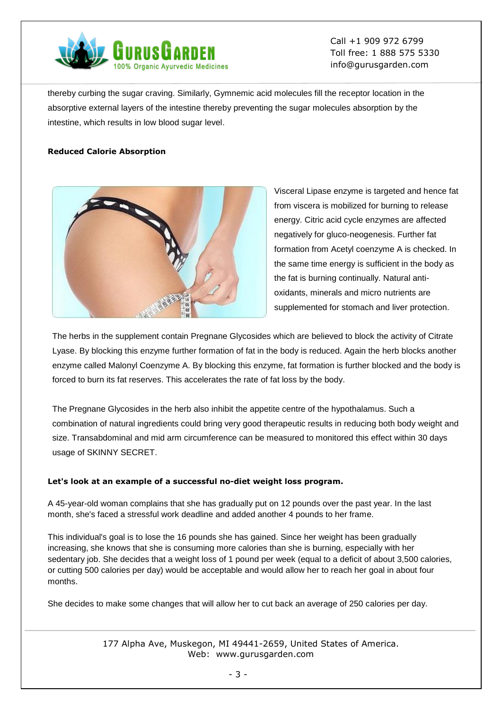

thereby curbing the sugar craving. Similarly, Gymnemic acid molecules fill the receptor location in the absorptive external layers of the intestine thereby preventing the sugar molecules absorption by the intestine, which results in low blood sugar level.

#### **Reduced Calorie Absorption**



Visceral Lipase enzyme is targeted and hence fat from viscera is mobilized for burning to release energy. Citric acid cycle enzymes are affected negatively for gluco-neogenesis. Further fat formation from Acetyl coenzyme A is checked. In the same time energy is sufficient in the body as the fat is burning continually. Natural antioxidants, minerals and micro nutrients are supplemented for stomach and liver protection.

The herbs in the supplement contain Pregnane Glycosides which are believed to block the activity of Citrate Lyase. By blocking this enzyme further formation of fat in the body is reduced. Again the herb blocks another enzyme called Malonyl Coenzyme A. By blocking this enzyme, fat formation is further blocked and the body is forced to burn its fat reserves. This accelerates the rate of fat loss by the body.

The Pregnane Glycosides in the herb also inhibit the appetite centre of the hypothalamus. Such a combination of natural ingredients could bring very good therapeutic results in reducing both body weight and size. Transabdominal and mid arm circumference can be measured to monitored this effect within 30 days usage of SKINNY SECRET.

#### **Let's look at an example of a successful no-diet weight loss program.**

A 45-year-old woman complains that she has gradually put on 12 pounds over the past year. In the last month, she's faced a stressful work deadline and added another 4 pounds to her frame.

This individual's goal is to lose the 16 pounds she has gained. Since her weight has been gradually increasing, she knows that she is consuming more calories than she is burning, especially with her sedentary job. She decides that a weight loss of 1 pound per week (equal to a deficit of about 3,500 calories, or cutting 500 calories per day) would be acceptable and would allow her to reach her goal in about four months.

She decides to make some changes that will allow her to cut back an average of 250 calories per day.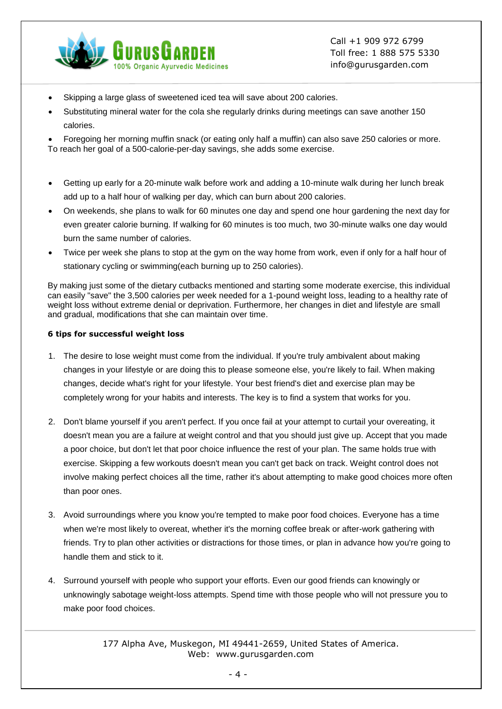

- Skipping a large glass of sweetened iced tea will save about 200 calories.
- Substituting mineral water for the cola she regularly drinks during meetings can save another 150 calories.
- Foregoing her morning muffin snack (or eating only half a muffin) can also save 250 calories or more. To reach her goal of a 500-calorie-per-day savings, she adds some exercise.
- Getting up early for a 20-minute walk before work and adding a 10-minute walk during her lunch break add up to a half hour of walking per day, which can burn about 200 calories.
- On weekends, she plans to walk for 60 minutes one day and spend one hour gardening the next day for even greater calorie burning. If walking for 60 minutes is too much, two 30-minute walks one day would burn the same number of calories.
- Twice per week she plans to stop at the gym on the way home from work, even if only for a half hour of stationary cycling or swimming(each burning up to 250 calories).

By making just some of the dietary cutbacks mentioned and starting some moderate exercise, this individual can easily "save" the 3,500 calories per week needed for a 1-pound weight loss, leading to a healthy rate of weight loss without extreme denial or deprivation. Furthermore, her changes in diet and lifestyle are small and gradual, modifications that she can maintain over time.

#### **6 tips for successful weight loss**

- 1. The desire to lose weight must come from the individual. If you're truly ambivalent about making changes in your lifestyle or are doing this to please someone else, you're likely to fail. When making changes, decide what's right for your lifestyle. Your best friend's diet and exercise plan may be completely wrong for your habits and interests. The key is to find a system that works for you.
- 2. Don't blame yourself if you aren't perfect. If you once fail at your attempt to curtail your overeating, it doesn't mean you are a failure at weight control and that you should just give up. Accept that you made a poor choice, but don't let that poor choice influence the rest of your plan. The same holds true with exercise. Skipping a few workouts doesn't mean you can't get back on track. Weight control does not involve making perfect choices all the time, rather it's about attempting to make good choices more often than poor ones.
- 3. Avoid surroundings where you know you're tempted to make poor food choices. Everyone has a time when we're most likely to overeat, whether it's the morning coffee break or after-work gathering with friends. Try to plan other activities or distractions for those times, or plan in advance how you're going to handle them and stick to it.
- 4. Surround yourself with people who support your efforts. Even our good friends can knowingly or unknowingly sabotage weight-loss attempts. Spend time with those people who will not pressure you to make poor food choices.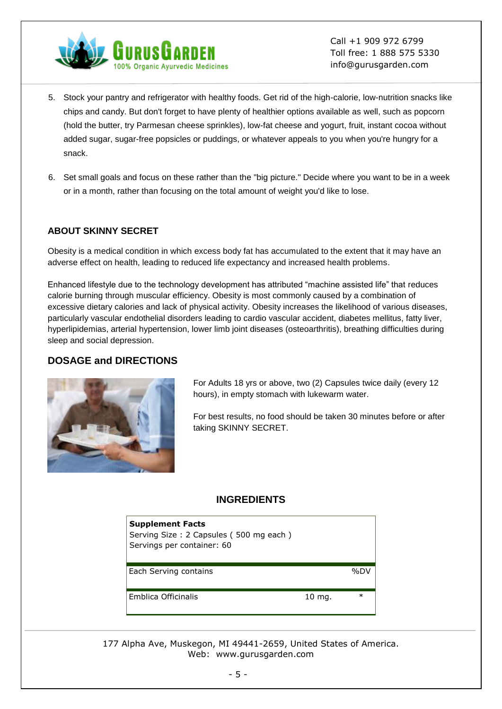

- 5. Stock your pantry and refrigerator with healthy foods. Get rid of the high-calorie, low-nutrition snacks like chips and candy. But don't forget to have plenty of healthier options available as well, such as popcorn (hold the butter, try Parmesan cheese sprinkles), low-fat cheese and yogurt, fruit, instant cocoa without added sugar, sugar-free popsicles or puddings, or whatever appeals to you when you're hungry for a snack.
- 6. Set small goals and focus on these rather than the "big picture." Decide where you want to be in a week or in a month, rather than focusing on the total amount of weight you'd like to lose.

### **ABOUT SKINNY SECRET**

Obesity is a medical condition in which excess body fat has accumulated to the extent that it may have an adverse effect on health, leading to reduced life expectancy and increased health problems.

Enhanced lifestyle due to the technology development has attributed "machine assisted life" that reduces calorie burning through muscular efficiency. Obesity is most commonly caused by a combination of excessive dietary calories and lack of physical activity. Obesity increases the likelihood of various diseases, particularly vascular endothelial disorders leading to cardio vascular accident, diabetes mellitus, fatty liver, hyperlipidemias, arterial hypertension, lower limb joint diseases (osteoarthritis), breathing difficulties during sleep and social depression.

### **DOSAGE and DIRECTIONS**



For Adults 18 yrs or above, two (2) Capsules twice daily (every 12 hours), in empty stomach with lukewarm water.

For best results, no food should be taken 30 minutes before or after taking SKINNY SECRET.

### **INGREDIENTS**

| <b>Supplement Facts</b><br>Serving Size: 2 Capsules (500 mg each)<br>Servings per container: 60 |                   |         |
|-------------------------------------------------------------------------------------------------|-------------------|---------|
| Each Serving contains                                                                           |                   | $96$ DV |
| Emblica Officinalis                                                                             | $10 \text{ mg}$ . | $\ast$  |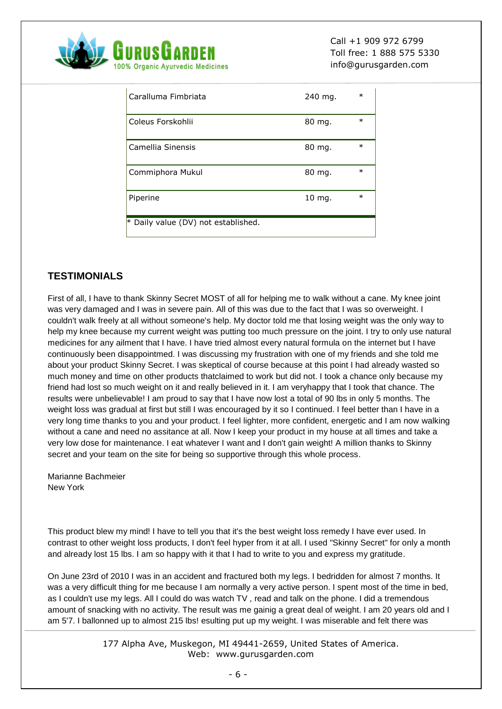

| Caralluma Fimbriata                 | 240 mg.           | $\ast$ |
|-------------------------------------|-------------------|--------|
| Coleus Forskohlii                   | 80 mg.            | $\ast$ |
| Camellia Sinensis                   | 80 mg.            | $\ast$ |
| Commiphora Mukul                    | 80 mg.            | $\ast$ |
| Piperine                            | $10 \text{ mg}$ . | $\ast$ |
| * Daily value (DV) not established. |                   |        |

# **TESTIMONIALS**

First of all, I have to thank Skinny Secret MOST of all for helping me to walk without a cane. My knee joint was very damaged and I was in severe pain. All of this was due to the fact that I was so overweight. I couldn't walk freely at all without someone's help. My doctor told me that losing weight was the only way to help my knee because my current weight was putting too much pressure on the joint. I try to only use natural medicines for any ailment that I have. I have tried almost every natural formula on the internet but I have continuously been disappointmed. I was discussing my frustration with one of my friends and she told me about your product Skinny Secret. I was skeptical of course because at this point I had already wasted so much money and time on other products thatclaimed to work but did not. I took a chance only because my friend had lost so much weight on it and really believed in it. I am veryhappy that I took that chance. The results were unbelievable! I am proud to say that I have now lost a total of 90 lbs in only 5 months. The weight loss was gradual at first but still I was encouraged by it so I continued. I feel better than I have in a very long time thanks to you and your product. I feel lighter, more confident, energetic and I am now walking without a cane and need no assitance at all. Now I keep your product in my house at all times and take a very low dose for maintenance. I eat whatever I want and I don't gain weight! A million thanks to Skinny secret and your team on the site for being so supportive through this whole process.

Marianne Bachmeier New York

This product blew my mind! I have to tell you that it's the best weight loss remedy I have ever used. In contrast to other weight loss products, I don't feel hyper from it at all. I used "Skinny Secret" for only a month and already lost 15 lbs. I am so happy with it that I had to write to you and express my gratitude.

On June 23rd of 2010 I was in an accident and fractured both my legs. I bedridden for almost 7 months. It was a very difficult thing for me because I am normally a very active person. I spent most of the time in bed, as I couldn't use my legs. All I could do was watch TV , read and talk on the phone. I did a tremendous amount of snacking with no activity. The result was me gainig a great deal of weight. I am 20 years old and I am 5'7. I ballonned up to almost 215 lbs! esulting put up my weight. I was miserable and felt there was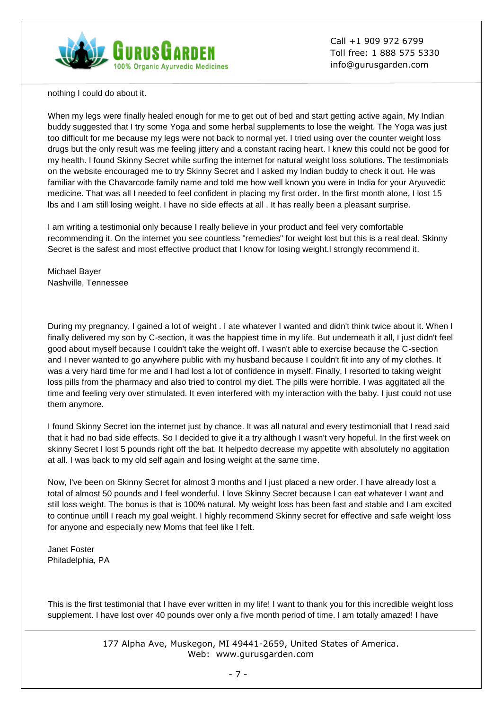

nothing I could do about it.

When my legs were finally healed enough for me to get out of bed and start getting active again, My Indian buddy suggested that I try some Yoga and some herbal supplements to lose the weight. The Yoga was just too difficult for me because my legs were not back to normal yet. I tried using over the counter weight loss drugs but the only result was me feeling jittery and a constant racing heart. I knew this could not be good for my health. I found Skinny Secret while surfing the internet for natural weight loss solutions. The testimonials on the website encouraged me to try Skinny Secret and I asked my Indian buddy to check it out. He was familiar with the Chavarcode family name and told me how well known you were in India for your Aryuvedic medicine. That was all I needed to feel confident in placing my first order. In the first month alone, I lost 15 lbs and I am still losing weight. I have no side effects at all . It has really been a pleasant surprise.

I am writing a testimonial only because I really believe in your product and feel very comfortable recommending it. On the internet you see countless "remedies" for weight lost but this is a real deal. Skinny Secret is the safest and most effective product that I know for losing weight.I strongly recommend it.

Michael Bayer Nashville, Tennessee

During my pregnancy, I gained a lot of weight . I ate whatever I wanted and didn't think twice about it. When I finally delivered my son by C-section, it was the happiest time in my life. But underneath it all, I just didn't feel good about myself because I couldn't take the weight off. I wasn't able to exercise because the C-section and I never wanted to go anywhere public with my husband because I couldn't fit into any of my clothes. It was a very hard time for me and I had lost a lot of confidence in myself. Finally, I resorted to taking weight loss pills from the pharmacy and also tried to control my diet. The pills were horrible. I was aggitated all the time and feeling very over stimulated. It even interfered with my interaction with the baby. I just could not use them anymore.

I found Skinny Secret ion the internet just by chance. It was all natural and every testimoniall that I read said that it had no bad side effects. So I decided to give it a try although I wasn't very hopeful. In the first week on skinny Secret I lost 5 pounds right off the bat. It helpedto decrease my appetite with absolutely no aggitation at all. I was back to my old self again and losing weight at the same time.

Now, I've been on Skinny Secret for almost 3 months and I just placed a new order. I have already lost a total of almost 50 pounds and I feel wonderful. I love Skinny Secret because I can eat whatever I want and still loss weight. The bonus is that is 100% natural. My weight loss has been fast and stable and I am excited to continue untill I reach my goal weight. I highly recommend Skinny secret for effective and safe weight loss for anyone and especially new Moms that feel like I felt.

Janet Foster Philadelphia, PA

This is the first testimonial that I have ever written in my life! I want to thank you for this incredible weight loss supplement. I have lost over 40 pounds over only a five month period of time. I am totally amazed! I have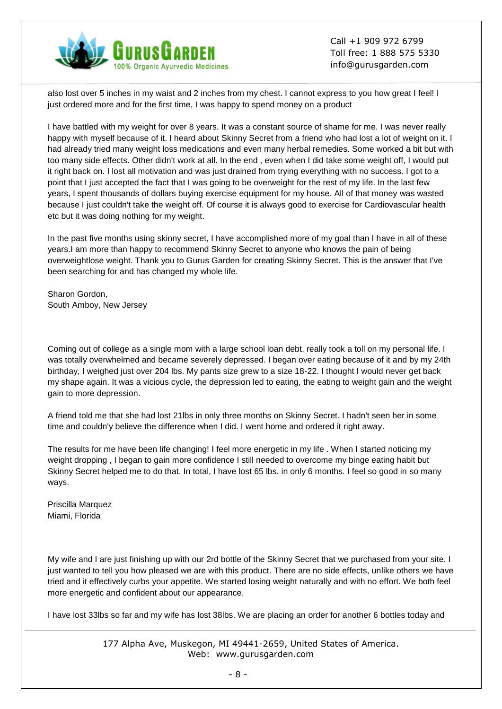

also lost over 5 inches in my waist and 2 inches from my chest. I cannot express to you how great I feel! I just ordered more and for the first time, I was happy to spend money on a product

I have battled with my weight for over 8 years. It was a constant source of shame for me. I was never really happy with myself because of it. I heard about Skinny Secret from a friend who had lost a lot of weight on it. I had already tried many weight loss medications and even many herbal remedies. Some worked a bit but with too many side effects. Other didn't work at all. In the end , even when I did take some weight off, I would put it right back on. I lost all motivation and was just drained from trying everything with no success. I got to a point that I just accepted the fact that I was going to be overweight for the rest of my life. In the last few years, I spent thousands of dollars buying exercise equipment for my house. All of that money was wasted because I just couldn't take the weight off. Of course it is always good to exercise for Cardiovascular health etc but it was doing nothing for my weight.

In the past five months using skinny secret, I have accomplished more of my goal than I have in all of these years.I am more than happy to recommend Skinny Secret to anyone who knows the pain of being overweightlose weight. Thank you to Gurus Garden for creating Skinny Secret. This is the answer that I've been searching for and has changed my whole life.

Sharon Gordon, South Amboy, New Jersey

Coming out of college as a single mom with a large school loan debt, really took a toll on my personal life. I was totally overwhelmed and became severely depressed. I began over eating because of it and by my 24th birthday, I weighed just over 204 lbs. My pants size grew to a size 18-22. I thought I would never get back my shape again. It was a vicious cycle, the depression led to eating, the eating to weight gain and the weight gain to more depression.

A friend told me that she had lost 21lbs in only three months on Skinny Secret. I hadn't seen her in some time and couldn'y believe the difference when I did. I went home and ordered it right away.

The results for me have been life changing! I feel more energetic in my life . When I started noticing my weight dropping , I began to gain more confidence I still needed to overcome my binge eating habit but Skinny Secret helped me to do that. In total, I have lost 65 lbs. in only 6 months. I feel so good in so many ways.

Priscilla Marquez Miami, Florida

My wife and I are just finishing up with our 2rd bottle of the Skinny Secret that we purchased from your site. I just wanted to tell you how pleased we are with this product. There are no side effects, unlike others we have tried and it effectively curbs your appetite. We started losing weight naturally and with no effort. We both feel more energetic and confident about our appearance.

I have lost 33lbs so far and my wife has lost 38lbs. We are placing an order for another 6 bottles today and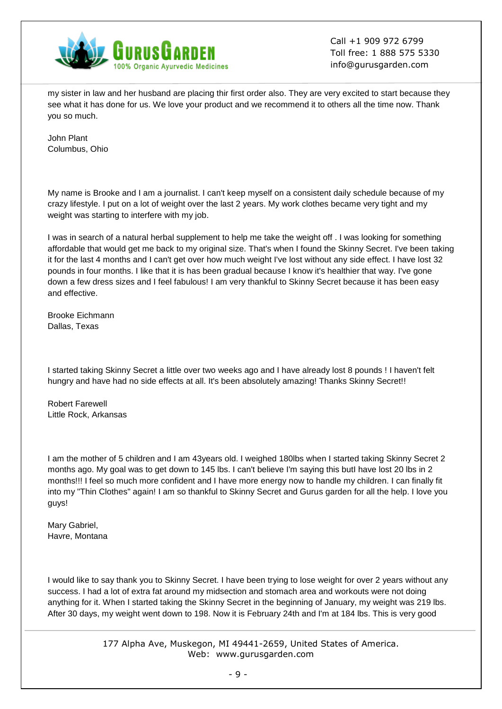

my sister in law and her husband are placing thir first order also. They are very excited to start because they see what it has done for us. We love your product and we recommend it to others all the time now. Thank you so much.

John Plant Columbus, Ohio

My name is Brooke and I am a journalist. I can't keep myself on a consistent daily schedule because of my crazy lifestyle. I put on a lot of weight over the last 2 years. My work clothes became very tight and my weight was starting to interfere with my job.

I was in search of a natural herbal supplement to help me take the weight off . I was looking for something affordable that would get me back to my original size. That's when I found the Skinny Secret. I've been taking it for the last 4 months and I can't get over how much weight I've lost without any side effect. I have lost 32 pounds in four months. I like that it is has been gradual because I know it's healthier that way. I've gone down a few dress sizes and I feel fabulous! I am very thankful to Skinny Secret because it has been easy and effective.

Brooke Eichmann Dallas, Texas

I started taking Skinny Secret a little over two weeks ago and I have already lost 8 pounds ! I haven't felt hungry and have had no side effects at all. It's been absolutely amazing! Thanks Skinny Secret!!

Robert Farewell Little Rock, Arkansas

I am the mother of 5 children and I am 43years old. I weighed 180lbs when I started taking Skinny Secret 2 months ago. My goal was to get down to 145 lbs. I can't believe I'm saying this butI have lost 20 lbs in 2 months!!! I feel so much more confident and I have more energy now to handle my children. I can finally fit into my "Thin Clothes" again! I am so thankful to Skinny Secret and Gurus garden for all the help. I love you guys!

Mary Gabriel, Havre, Montana

I would like to say thank you to Skinny Secret. I have been trying to lose weight for over 2 years without any success. I had a lot of extra fat around my midsection and stomach area and workouts were not doing anything for it. When I started taking the Skinny Secret in the beginning of January, my weight was 219 lbs. After 30 days, my weight went down to 198. Now it is February 24th and I'm at 184 lbs. This is very good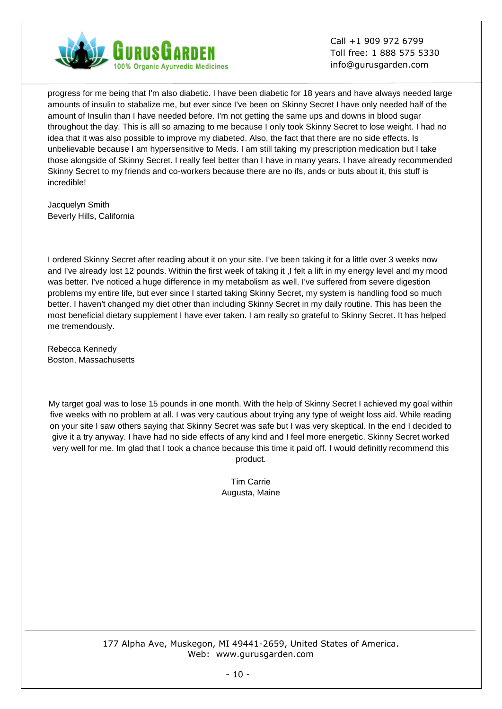

progress for me being that I'm also diabetic. I have been diabetic for 18 years and have always needed large amounts of insulin to stabalize me, but ever since I've been on Skinny Secret I have only needed half of the amount of Insulin than I have needed before. I'm not getting the same ups and downs in blood sugar throughout the day. This is alll so amazing to me because I only took Skinny Secret to lose weight. I had no idea that it was also possible to improve my diabeted. Also, the fact that there are no side effects. Is unbelievable because I am hypersensitive to Meds. I am still taking my prescription medication but I take those alongside of Skinny Secret. I really feel better than I have in many years. I have already recommended Skinny Secret to my friends and co-workers because there are no ifs, ands or buts about it, this stuff is incredible!

Jacquelyn Smith Beverly Hills, California

I ordered Skinny Secret after reading about it on your site. I've been taking it for a little over 3 weeks now and I've already lost 12 pounds. Within the first week of taking it ,I felt a lift in my energy level and my mood was better. I've noticed a huge difference in my metabolism as well. I've suffered from severe digestion problems my entire life, but ever since I started taking Skinny Secret, my system is handling food so much better. I haven't changed my diet other than including Skinny Secret in my daily routine. This has been the most beneficial dietary supplement I have ever taken. I am really so grateful to Skinny Secret. It has helped me tremendously.

Rebecca Kennedy Boston, Massachusetts

My target goal was to lose 15 pounds in one month. With the help of Skinny Secret I achieved my goal within five weeks with no problem at all. I was very cautious about trying any type of weight loss aid. While reading on your site I saw others saying that Skinny Secret was safe but I was very skeptical. In the end I decided to give it a try anyway. I have had no side effects of any kind and I feel more energetic. Skinny Secret worked very well for me. Im glad that I took a chance because this time it paid off. I would definitly recommend this product.

> Tim Carrie Augusta, Maine